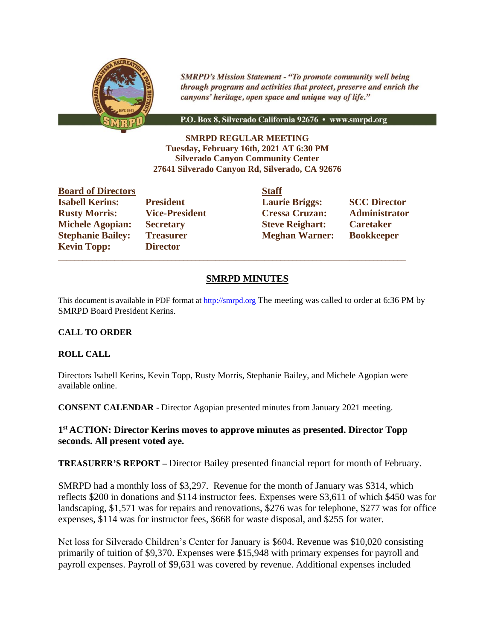

**SMRPD's Mission Statement - "To promote community well being** through programs and activities that protect, preserve and enrich the canyons' heritage, open space and unique way of life."

P.O. Box 8, Silverado California 92676 · www.smrpd.org

**SMRPD REGULAR MEETING Tuesday, February 16th, 2021 AT 6:30 PM Silverado Canyon Community Center 27641 Silverado Canyon Rd, Silverado, CA 92676**

**Board of Directors Staff Kevin Topp: Director** 

 $\_$  , and the set of the set of the set of the set of the set of the set of the set of the set of the set of the set of the set of the set of the set of the set of the set of the set of the set of the set of the set of th

**Isabell Kerins: President Laurie Briggs: SCC Director Rusty Morris: Vice-President Cressa Cruzan: Administrator Michele Agopian: Secretary Steve Reighart: Caretaker Stephanie Bailey: Treasurer Meghan Warner: Bookkeeper** 

# **SMRPD MINUTES**

This document is available in PDF format at http://smrpd.org The meeting was called to order at 6:36 PM by SMRPD Board President Kerins.

# **CALL TO ORDER**

# **ROLL CALL**

Directors Isabell Kerins, Kevin Topp, Rusty Morris, Stephanie Bailey, and Michele Agopian were available online.

**CONSENT CALENDAR -** Director Agopian presented minutes from January 2021 meeting.

# **1 st ACTION: Director Kerins moves to approve minutes as presented. Director Topp seconds. All present voted aye.**

**TREASURER'S REPORT –** Director Bailey presented financial report for month of February.

SMRPD had a monthly loss of \$3,297. Revenue for the month of January was \$314, which reflects \$200 in donations and \$114 instructor fees. Expenses were \$3,611 of which \$450 was for landscaping, \$1,571 was for repairs and renovations, \$276 was for telephone, \$277 was for office expenses, \$114 was for instructor fees, \$668 for waste disposal, and \$255 for water.

Net loss for Silverado Children's Center for January is \$604. Revenue was \$10,020 consisting primarily of tuition of \$9,370. Expenses were \$15,948 with primary expenses for payroll and payroll expenses. Payroll of \$9,631 was covered by revenue. Additional expenses included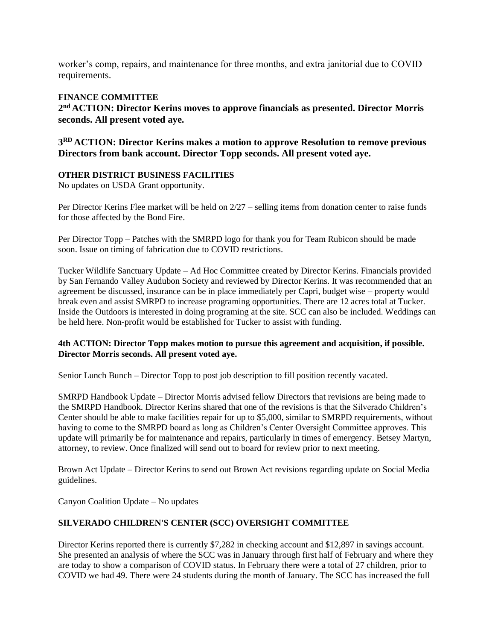worker's comp, repairs, and maintenance for three months, and extra janitorial due to COVID requirements.

#### **FINANCE COMMITTEE**

**2 nd ACTION: Director Kerins moves to approve financials as presented. Director Morris seconds. All present voted aye.** 

**3 RD ACTION: Director Kerins makes a motion to approve Resolution to remove previous Directors from bank account. Director Topp seconds. All present voted aye.** 

# **OTHER DISTRICT BUSINESS FACILITIES**

No updates on USDA Grant opportunity.

Per Director Kerins Flee market will be held on 2/27 – selling items from donation center to raise funds for those affected by the Bond Fire.

Per Director Topp – Patches with the SMRPD logo for thank you for Team Rubicon should be made soon. Issue on timing of fabrication due to COVID restrictions.

Tucker Wildlife Sanctuary Update – Ad Hoc Committee created by Director Kerins. Financials provided by San Fernando Valley Audubon Society and reviewed by Director Kerins. It was recommended that an agreement be discussed, insurance can be in place immediately per Capri, budget wise – property would break even and assist SMRPD to increase programing opportunities. There are 12 acres total at Tucker. Inside the Outdoors is interested in doing programing at the site. SCC can also be included. Weddings can be held here. Non-profit would be established for Tucker to assist with funding.

### **4th ACTION: Director Topp makes motion to pursue this agreement and acquisition, if possible. Director Morris seconds. All present voted aye.**

Senior Lunch Bunch – Director Topp to post job description to fill position recently vacated.

SMRPD Handbook Update – Director Morris advised fellow Directors that revisions are being made to the SMRPD Handbook. Director Kerins shared that one of the revisions is that the Silverado Children's Center should be able to make facilities repair for up to \$5,000, similar to SMRPD requirements, without having to come to the SMRPD board as long as Children's Center Oversight Committee approves. This update will primarily be for maintenance and repairs, particularly in times of emergency. Betsey Martyn, attorney, to review. Once finalized will send out to board for review prior to next meeting.

Brown Act Update – Director Kerins to send out Brown Act revisions regarding update on Social Media guidelines.

Canyon Coalition Update – No updates

# **SILVERADO CHILDREN'S CENTER (SCC) OVERSIGHT COMMITTEE**

Director Kerins reported there is currently \$7,282 in checking account and \$12,897 in savings account. She presented an analysis of where the SCC was in January through first half of February and where they are today to show a comparison of COVID status. In February there were a total of 27 children, prior to COVID we had 49. There were 24 students during the month of January. The SCC has increased the full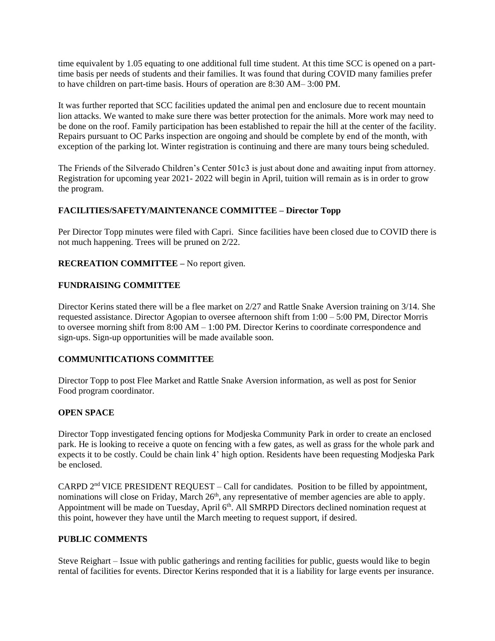time equivalent by 1.05 equating to one additional full time student. At this time SCC is opened on a parttime basis per needs of students and their families. It was found that during COVID many families prefer to have children on part-time basis. Hours of operation are 8:30 AM– 3:00 PM.

It was further reported that SCC facilities updated the animal pen and enclosure due to recent mountain lion attacks. We wanted to make sure there was better protection for the animals. More work may need to be done on the roof. Family participation has been established to repair the hill at the center of the facility. Repairs pursuant to OC Parks inspection are ongoing and should be complete by end of the month, with exception of the parking lot. Winter registration is continuing and there are many tours being scheduled.

The Friends of the Silverado Children's Center 501c3 is just about done and awaiting input from attorney. Registration for upcoming year 2021- 2022 will begin in April, tuition will remain as is in order to grow the program.

# **FACILITIES/SAFETY/MAINTENANCE COMMITTEE – Director Topp**

Per Director Topp minutes were filed with Capri. Since facilities have been closed due to COVID there is not much happening. Trees will be pruned on 2/22.

**RECREATION COMMITTEE –** No report given.

### **FUNDRAISING COMMITTEE**

Director Kerins stated there will be a flee market on 2/27 and Rattle Snake Aversion training on 3/14. She requested assistance. Director Agopian to oversee afternoon shift from 1:00 – 5:00 PM, Director Morris to oversee morning shift from 8:00 AM – 1:00 PM. Director Kerins to coordinate correspondence and sign-ups. Sign-up opportunities will be made available soon.

#### **COMMUNITICATIONS COMMITTEE**

Director Topp to post Flee Market and Rattle Snake Aversion information, as well as post for Senior Food program coordinator.

#### **OPEN SPACE**

Director Topp investigated fencing options for Modjeska Community Park in order to create an enclosed park. He is looking to receive a quote on fencing with a few gates, as well as grass for the whole park and expects it to be costly. Could be chain link 4' high option. Residents have been requesting Modjeska Park be enclosed.

CARPD  $2<sup>nd</sup>$  VICE PRESIDENT REQUEST – Call for candidates. Position to be filled by appointment, nominations will close on Friday, March 26<sup>th</sup>, any representative of member agencies are able to apply. Appointment will be made on Tuesday, April 6<sup>th</sup>. All SMRPD Directors declined nomination request at this point, however they have until the March meeting to request support, if desired.

#### **PUBLIC COMMENTS**

Steve Reighart – Issue with public gatherings and renting facilities for public, guests would like to begin rental of facilities for events. Director Kerins responded that it is a liability for large events per insurance.